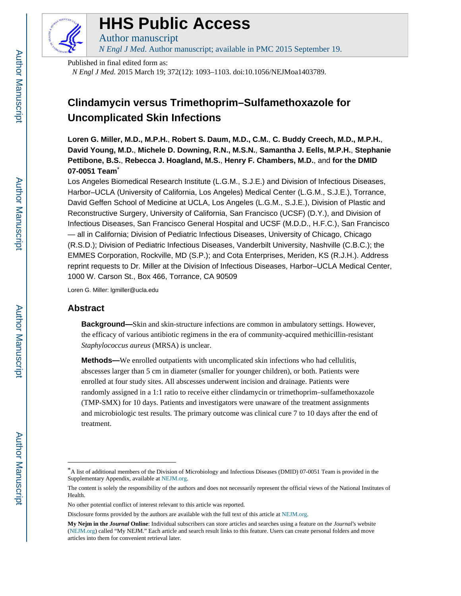

# **HHS Public Access**

Author manuscript *N Engl J Med*. Author manuscript; available in PMC 2015 September 19.

Published in final edited form as:

*N Engl J Med*. 2015 March 19; 372(12): 1093–1103. doi:10.1056/NEJMoa1403789.

# **Clindamycin versus Trimethoprim–Sulfamethoxazole for Uncomplicated Skin Infections**

**Loren G. Miller, M.D., M.P.H.**, **Robert S. Daum, M.D., C.M.**, **C. Buddy Creech, M.D., M.P.H.**, **David Young, M.D.**, **Michele D. Downing, R.N., M.S.N.**, **Samantha J. Eells, M.P.H.**, **Stephanie Pettibone, B.S.**, **Rebecca J. Hoagland, M.S.**, **Henry F. Chambers, M.D.**, and **for the DMID 07-0051 Team**\*

Los Angeles Biomedical Research Institute (L.G.M., S.J.E.) and Division of Infectious Diseases, Harbor–UCLA (University of California, Los Angeles) Medical Center (L.G.M., S.J.E.), Torrance, David Geffen School of Medicine at UCLA, Los Angeles (L.G.M., S.J.E.), Division of Plastic and Reconstructive Surgery, University of California, San Francisco (UCSF) (D.Y.), and Division of Infectious Diseases, San Francisco General Hospital and UCSF (M.D.D., H.F.C.), San Francisco — all in California; Division of Pediatric Infectious Diseases, University of Chicago, Chicago (R.S.D.); Division of Pediatric Infectious Diseases, Vanderbilt University, Nashville (C.B.C.); the EMMES Corporation, Rockville, MD (S.P.); and Cota Enterprises, Meriden, KS (R.J.H.). Address reprint requests to Dr. Miller at the Division of Infectious Diseases, Harbor–UCLA Medical Center, 1000 W. Carson St., Box 466, Torrance, CA 90509

Loren G. Miller: lgmiller@ucla.edu

# **Abstract**

**Background—**Skin and skin-structure infections are common in ambulatory settings. However, the efficacy of various antibiotic regimens in the era of community-acquired methicillin-resistant *Staphylococcus aureus* (MRSA) is unclear.

**Methods—**We enrolled outpatients with uncomplicated skin infections who had cellulitis, abscesses larger than 5 cm in diameter (smaller for younger children), or both. Patients were enrolled at four study sites. All abscesses underwent incision and drainage. Patients were randomly assigned in a 1:1 ratio to receive either clindamycin or trimethoprim–sulfamethoxazole (TMP-SMX) for 10 days. Patients and investigators were unaware of the treatment assignments and microbiologic test results. The primary outcome was clinical cure 7 to 10 days after the end of treatment.

<sup>\*</sup>A list of additional members of the Division of Microbiology and Infectious Diseases (DMID) 07-0051 Team is provided in the Supplementary Appendix, available at [NEJM.org](http://NEJM.org).

The content is solely the responsibility of the authors and does not necessarily represent the official views of the National Institutes of Health.

No other potential conflict of interest relevant to this article was reported.

Disclosure forms provided by the authors are available with the full text of this article at [NEJM.org.](http://NEJM.org)

**My Nejm in the** *Journal* **Online**: Individual subscribers can store articles and searches using a feature on the *Journal'*s website ([NEJM.org](http://NEJM.org)) called "My NEJM." Each article and search result links to this feature. Users can create personal folders and move articles into them for convenient retrieval later.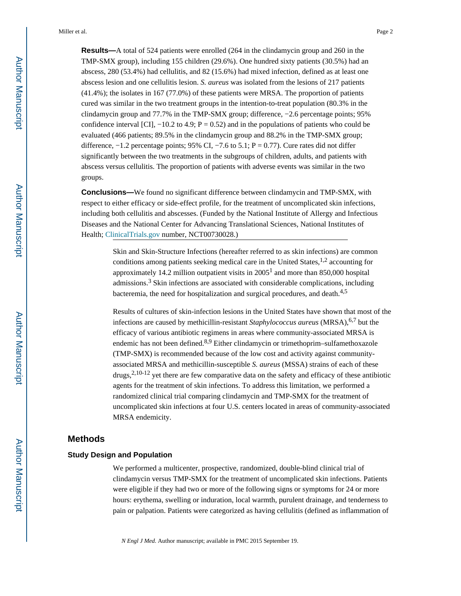**Results—**A total of 524 patients were enrolled (264 in the clindamycin group and 260 in the TMP-SMX group), including 155 children (29.6%). One hundred sixty patients (30.5%) had an abscess, 280 (53.4%) had cellulitis, and 82 (15.6%) had mixed infection, defined as at least one abscess lesion and one cellulitis lesion. *S. aureus* was isolated from the lesions of 217 patients (41.4%); the isolates in 167 (77.0%) of these patients were MRSA. The proportion of patients cured was similar in the two treatment groups in the intention-to-treat population (80.3% in the clindamycin group and 77.7% in the TMP-SMX group; difference, −2.6 percentage points; 95% confidence interval [CI],  $-10.2$  to 4.9; P = 0.52) and in the populations of patients who could be evaluated (466 patients; 89.5% in the clindamycin group and 88.2% in the TMP-SMX group; difference,  $-1.2$  percentage points; 95% CI,  $-7.6$  to 5.1; P = 0.77). Cure rates did not differ significantly between the two treatments in the subgroups of children, adults, and patients with abscess versus cellulitis. The proportion of patients with adverse events was similar in the two groups.

**Conclusions—**We found no significant difference between clindamycin and TMP-SMX, with respect to either efficacy or side-effect profile, for the treatment of uncomplicated skin infections, including both cellulitis and abscesses. (Funded by the National Institute of Allergy and Infectious Diseases and the National Center for Advancing Translational Sciences, National Institutes of Health; [ClinicalTrials.gov](http://ClinicalTrials.gov) number, NCT00730028.)

> Skin and Skin-Structure Infections (hereafter referred to as skin infections) are common conditions among patients seeking medical care in the United States,  $1,2$  accounting for approximately 14.2 million outpatient visits in  $2005<sup>1</sup>$  and more than 850,000 hospital admissions.<sup>3</sup> Skin infections are associated with considerable complications, including bacteremia, the need for hospitalization and surgical procedures, and death.<sup>4,5</sup>

Results of cultures of skin-infection lesions in the United States have shown that most of the infections are caused by methicillin-resistant *Staphylococcus aureus* (MRSA),<sup>6,7</sup> but the efficacy of various antibiotic regimens in areas where community-associated MRSA is endemic has not been defined.<sup>8,9</sup> Either clindamycin or trimethoprim–sulfamethoxazole (TMP-SMX) is recommended because of the low cost and activity against communityassociated MRSA and methicillin-susceptible *S. aureus* (MSSA) strains of each of these  $d_{\text{rugs}}^{2,10-12}$  yet there are few comparative data on the safety and efficacy of these antibiotic agents for the treatment of skin infections. To address this limitation, we performed a randomized clinical trial comparing clindamycin and TMP-SMX for the treatment of uncomplicated skin infections at four U.S. centers located in areas of community-associated MRSA endemicity.

#### **Methods**

## **Study Design and Population**

We performed a multicenter, prospective, randomized, double-blind clinical trial of clindamycin versus TMP-SMX for the treatment of uncomplicated skin infections. Patients were eligible if they had two or more of the following signs or symptoms for 24 or more hours: erythema, swelling or induration, local warmth, purulent drainage, and tenderness to pain or palpation. Patients were categorized as having cellulitis (defined as inflammation of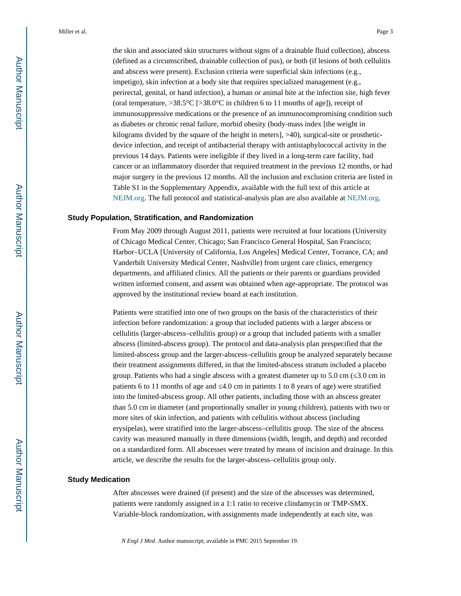the skin and associated skin structures without signs of a drainable fluid collection), abscess (defined as a circumscribed, drainable collection of pus), or both (if lesions of both cellulitis and abscess were present). Exclusion criteria were superficial skin infections (e.g., impetigo), skin infection at a body site that requires specialized management (e.g., perirectal, genital, or hand infection), a human or animal bite at the infection site, high fever (oral temperature,  $>38.5^{\circ}C$  [ $>38.0^{\circ}C$  in children 6 to 11 months of age]), receipt of immunosuppressive medications or the presence of an immunocompromising condition such as diabetes or chronic renal failure, morbid obesity (body-mass index [the weight in kilograms divided by the square of the height in meters], >40), surgical-site or prostheticdevice infection, and receipt of antibacterial therapy with antistaphylococcal activity in the previous 14 days. Patients were ineligible if they lived in a long-term care facility, had cancer or an inflammatory disorder that required treatment in the previous 12 months, or had major surgery in the previous 12 months. All the inclusion and exclusion criteria are listed in Table S1 in the Supplementary Appendix, available with the full text of this article at [NEJM.org.](http://NEJM.org) The full protocol and statistical-analysis plan are also available at [NEJM.org](http://NEJM.org).

# **Study Population, Stratification, and Randomization**

From May 2009 through August 2011, patients were recruited at four locations (University of Chicago Medical Center, Chicago; San Francisco General Hospital, San Francisco; Harbor–UCLA [University of California, Los Angeles] Medical Center, Torrance, CA; and Vanderbilt University Medical Center, Nashville) from urgent care clinics, emergency departments, and affiliated clinics. All the patients or their parents or guardians provided written informed consent, and assent was obtained when age-appropriate. The protocol was approved by the institutional review board at each institution.

Patients were stratified into one of two groups on the basis of the characteristics of their infection before randomization: a group that included patients with a larger abscess or cellulitis (larger-abscess–cellulitis group) or a group that included patients with a smaller abscess (limited-abscess group). The protocol and data-analysis plan prespecified that the limited-abscess group and the larger-abscess–cellulitis group be analyzed separately because their treatment assignments differed, in that the limited-abscess stratum included a placebo group. Patients who had a single abscess with a greatest diameter up to 5.0 cm ( $3.0 \text{ cm}$  in patients 6 to 11 months of age and  $4.0 \text{ cm}$  in patients 1 to 8 years of age) were stratified into the limited-abscess group. All other patients, including those with an abscess greater than 5.0 cm in diameter (and proportionally smaller in young children), patients with two or more sites of skin infection, and patients with cellulitis without abscess (including erysipelas), were stratified into the larger-abscess–cellulitis group. The size of the abscess cavity was measured manually in three dimensions (width, length, and depth) and recorded on a standardized form. All abscesses were treated by means of incision and drainage. In this article, we describe the results for the larger-abscess–cellulitis group only.

#### **Study Medication**

After abscesses were drained (if present) and the size of the abscesses was determined, patients were randomly assigned in a 1:1 ratio to receive clindamycin or TMP-SMX. Variable-block randomization, with assignments made independently at each site, was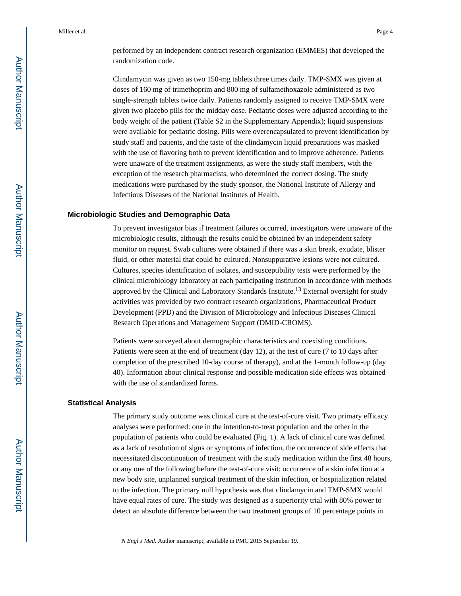Clindamycin was given as two 150-mg tablets three times daily. TMP-SMX was given at doses of 160 mg of trimethoprim and 800 mg of sulfamethoxazole administered as two single-strength tablets twice daily. Patients randomly assigned to receive TMP-SMX were given two placebo pills for the midday dose. Pediatric doses were adjusted according to the body weight of the patient (Table S2 in the Supplementary Appendix); liquid suspensions were available for pediatric dosing. Pills were overencapsulated to prevent identification by study staff and patients, and the taste of the clindamycin liquid preparations was masked with the use of flavoring both to prevent identification and to improve adherence. Patients were unaware of the treatment assignments, as were the study staff members, with the exception of the research pharmacists, who determined the correct dosing. The study medications were purchased by the study sponsor, the National Institute of Allergy and Infectious Diseases of the National Institutes of Health.

#### **Microbiologic Studies and Demographic Data**

To prevent investigator bias if treatment failures occurred, investigators were unaware of the microbiologic results, although the results could be obtained by an independent safety monitor on request. Swab cultures were obtained if there was a skin break, exudate, blister fluid, or other material that could be cultured. Nonsuppurative lesions were not cultured. Cultures, species identification of isolates, and susceptibility tests were performed by the clinical microbiology laboratory at each participating institution in accordance with methods approved by the Clinical and Laboratory Standards Institute.<sup>13</sup> External oversight for study activities was provided by two contract research organizations, Pharmaceutical Product Development (PPD) and the Division of Microbiology and Infectious Diseases Clinical Research Operations and Management Support (DMID-CROMS).

Patients were surveyed about demographic characteristics and coexisting conditions. Patients were seen at the end of treatment (day 12), at the test of cure (7 to 10 days after completion of the prescribed 10-day course of therapy), and at the 1-month follow-up (day 40). Information about clinical response and possible medication side effects was obtained with the use of standardized forms.

#### **Statistical Analysis**

The primary study outcome was clinical cure at the test-of-cure visit. Two primary efficacy analyses were performed: one in the intention-to-treat population and the other in the population of patients who could be evaluated (Fig. 1). A lack of clinical cure was defined as a lack of resolution of signs or symptoms of infection, the occurrence of side effects that necessitated discontinuation of treatment with the study medication within the first 48 hours, or any one of the following before the test-of-cure visit: occurrence of a skin infection at a new body site, unplanned surgical treatment of the skin infection, or hospitalization related to the infection. The primary null hypothesis was that clindamycin and TMP-SMX would have equal rates of cure. The study was designed as a superiority trial with 80% power to detect an absolute difference between the two treatment groups of 10 percentage points in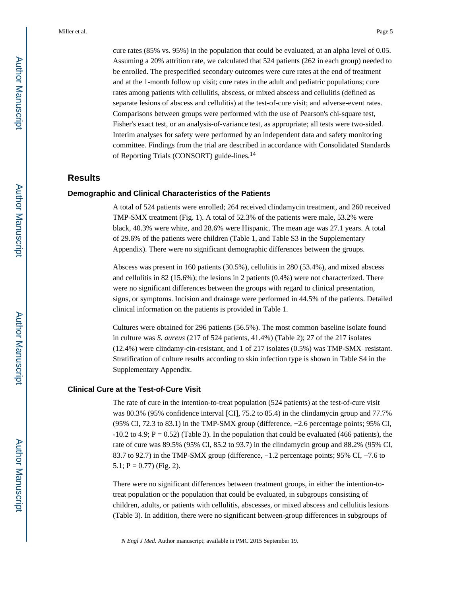cure rates (85% vs. 95%) in the population that could be evaluated, at an alpha level of 0.05. Assuming a 20% attrition rate, we calculated that 524 patients (262 in each group) needed to be enrolled. The prespecified secondary outcomes were cure rates at the end of treatment and at the 1-month follow up visit; cure rates in the adult and pediatric populations; cure rates among patients with cellulitis, abscess, or mixed abscess and cellulitis (defined as separate lesions of abscess and cellulitis) at the test-of-cure visit; and adverse-event rates. Comparisons between groups were performed with the use of Pearson's chi-square test, Fisher's exact test, or an analysis-of-variance test, as appropriate; all tests were two-sided. Interim analyses for safety were performed by an independent data and safety monitoring committee. Findings from the trial are described in accordance with Consolidated Standards of Reporting Trials (CONSORT) guide-lines.<sup>14</sup>

# **Results**

#### **Demographic and Clinical Characteristics of the Patients**

A total of 524 patients were enrolled; 264 received clindamycin treatment, and 260 received TMP-SMX treatment (Fig. 1). A total of 52.3% of the patients were male, 53.2% were black, 40.3% were white, and 28.6% were Hispanic. The mean age was 27.1 years. A total of 29.6% of the patients were children (Table 1, and Table S3 in the Supplementary Appendix). There were no significant demographic differences between the groups.

Abscess was present in 160 patients (30.5%), cellulitis in 280 (53.4%), and mixed abscess and cellulitis in 82 (15.6%); the lesions in 2 patients (0.4%) were not characterized. There were no significant differences between the groups with regard to clinical presentation, signs, or symptoms. Incision and drainage were performed in 44.5% of the patients. Detailed clinical information on the patients is provided in Table 1.

Cultures were obtained for 296 patients (56.5%). The most common baseline isolate found in culture was *S. aureus* (217 of 524 patients, 41.4%) (Table 2); 27 of the 217 isolates (12.4%) were clindamy-cin-resistant, and 1 of 217 isolates (0.5%) was TMP-SMX–resistant. Stratification of culture results according to skin infection type is shown in Table S4 in the Supplementary Appendix.

#### **Clinical Cure at the Test-of-Cure Visit**

The rate of cure in the intention-to-treat population (524 patients) at the test-of-cure visit was 80.3% (95% confidence interval [CI], 75.2 to 85.4) in the clindamycin group and 77.7% (95% CI, 72.3 to 83.1) in the TMP-SMX group (difference, −2.6 percentage points; 95% CI,  $-10.2$  to 4.9; P = 0.52) (Table 3). In the population that could be evaluated (466 patients), the rate of cure was 89.5% (95% CI, 85.2 to 93.7) in the clindamycin group and 88.2% (95% CI, 83.7 to 92.7) in the TMP-SMX group (difference, −1.2 percentage points; 95% CI, −7.6 to 5.1;  $P = 0.77$ ) (Fig. 2).

There were no significant differences between treatment groups, in either the intention-totreat population or the population that could be evaluated, in subgroups consisting of children, adults, or patients with cellulitis, abscesses, or mixed abscess and cellulitis lesions (Table 3). In addition, there were no significant between-group differences in subgroups of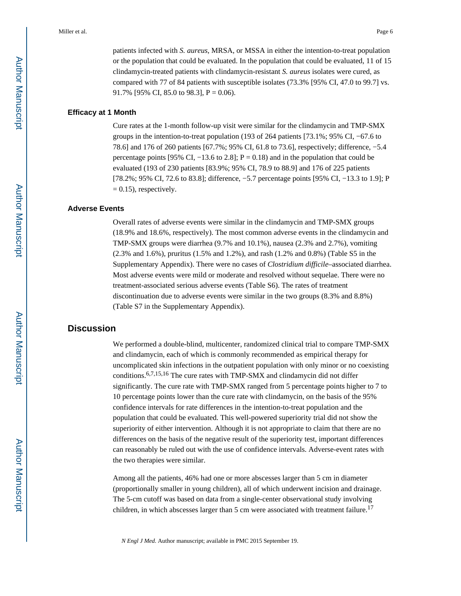patients infected with *S. aureus*, MRSA, or MSSA in either the intention-to-treat population or the population that could be evaluated. In the population that could be evaluated, 11 of 15 clindamycin-treated patients with clindamycin-resistant *S. aureus* isolates were cured, as compared with 77 of 84 patients with susceptible isolates (73.3% [95% CI, 47.0 to 99.7] vs. 91.7% [95% CI, 85.0 to 98.3],  $P = 0.06$ ).

#### **Efficacy at 1 Month**

Cure rates at the 1-month follow-up visit were similar for the clindamycin and TMP-SMX groups in the intention-to-treat population (193 of 264 patients [73.1%; 95% CI, −67.6 to 78.6] and 176 of 260 patients [67.7%; 95% CI, 61.8 to 73.6], respectively; difference, −5.4 percentage points [95% CI,  $-13.6$  to 2.8]; P = 0.18) and in the population that could be evaluated (193 of 230 patients [83.9%; 95% CI, 78.9 to 88.9] and 176 of 225 patients [78.2%; 95% CI, 72.6 to 83.8]; difference, −5.7 percentage points [95% CI, −13.3 to 1.9]; P  $= 0.15$ ), respectively.

#### **Adverse Events**

Overall rates of adverse events were similar in the clindamycin and TMP-SMX groups (18.9% and 18.6%, respectively). The most common adverse events in the clindamycin and TMP-SMX groups were diarrhea (9.7% and 10.1%), nausea (2.3% and 2.7%), vomiting (2.3% and 1.6%), pruritus (1.5% and 1.2%), and rash (1.2% and 0.8%) (Table S5 in the Supplementary Appendix). There were no cases of *Clostridium difficile*–associated diarrhea. Most adverse events were mild or moderate and resolved without sequelae. There were no treatment-associated serious adverse events (Table S6). The rates of treatment discontinuation due to adverse events were similar in the two groups (8.3% and 8.8%) (Table S7 in the Supplementary Appendix).

# **Discussion**

We performed a double-blind, multicenter, randomized clinical trial to compare TMP-SMX and clindamycin, each of which is commonly recommended as empirical therapy for uncomplicated skin infections in the outpatient population with only minor or no coexisting conditions.6,7,15,16 The cure rates with TMP-SMX and clindamycin did not differ significantly. The cure rate with TMP-SMX ranged from 5 percentage points higher to 7 to 10 percentage points lower than the cure rate with clindamycin, on the basis of the 95% confidence intervals for rate differences in the intention-to-treat population and the population that could be evaluated. This well-powered superiority trial did not show the superiority of either intervention. Although it is not appropriate to claim that there are no differences on the basis of the negative result of the superiority test, important differences can reasonably be ruled out with the use of confidence intervals. Adverse-event rates with the two therapies were similar.

Among all the patients, 46% had one or more abscesses larger than 5 cm in diameter (proportionally smaller in young children), all of which underwent incision and drainage. The 5-cm cutoff was based on data from a single-center observational study involving children, in which abscesses larger than 5 cm were associated with treatment failure.<sup>17</sup>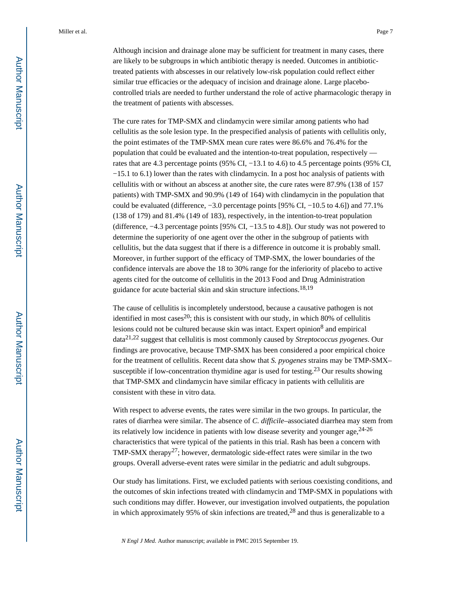Although incision and drainage alone may be sufficient for treatment in many cases, there are likely to be subgroups in which antibiotic therapy is needed. Outcomes in antibiotictreated patients with abscesses in our relatively low-risk population could reflect either similar true efficacies or the adequacy of incision and drainage alone. Large placebocontrolled trials are needed to further understand the role of active pharmacologic therapy in the treatment of patients with abscesses.

The cure rates for TMP-SMX and clindamycin were similar among patients who had cellulitis as the sole lesion type. In the prespecified analysis of patients with cellulitis only, the point estimates of the TMP-SMX mean cure rates were 86.6% and 76.4% for the population that could be evaluated and the intention-to-treat population, respectively rates that are 4.3 percentage points (95% CI, −13.1 to 4.6) to 4.5 percentage points (95% CI, −15.1 to 6.1) lower than the rates with clindamycin. In a post hoc analysis of patients with cellulitis with or without an abscess at another site, the cure rates were 87.9% (138 of 157 patients) with TMP-SMX and 90.9% (149 of 164) with clindamycin in the population that could be evaluated (difference,  $-3.0$  percentage points [95% CI,  $-10.5$  to 4.6]) and 77.1% (138 of 179) and 81.4% (149 of 183), respectively, in the intention-to-treat population (difference, −4.3 percentage points [95% CI, −13.5 to 4.8]). Our study was not powered to determine the superiority of one agent over the other in the subgroup of patients with cellulitis, but the data suggest that if there is a difference in outcome it is probably small. Moreover, in further support of the efficacy of TMP-SMX, the lower boundaries of the confidence intervals are above the 18 to 30% range for the inferiority of placebo to active agents cited for the outcome of cellulitis in the 2013 Food and Drug Administration guidance for acute bacterial skin and skin structure infections.18,19

The cause of cellulitis is incompletely understood, because a causative pathogen is not identified in most cases<sup>20</sup>; this is consistent with our study, in which 80% of cellulitis lesions could not be cultured because skin was intact. Expert opinion<sup>8</sup> and empirical data21,22 suggest that cellulitis is most commonly caused by *Streptococcus pyogenes*. Our findings are provocative, because TMP-SMX has been considered a poor empirical choice for the treatment of cellulitis. Recent data show that *S. pyogenes* strains may be TMP-SMX– susceptible if low-concentration thymidine agar is used for testing.<sup>23</sup> Our results showing that TMP-SMX and clindamycin have similar efficacy in patients with cellulitis are consistent with these in vitro data.

With respect to adverse events, the rates were similar in the two groups. In particular, the rates of diarrhea were similar. The absence of *C. difficile*–associated diarrhea may stem from its relatively low incidence in patients with low disease severity and younger age,  $24-26$ characteristics that were typical of the patients in this trial. Rash has been a concern with TMP-SMX therapy<sup>27</sup>; however, dermatologic side-effect rates were similar in the two groups. Overall adverse-event rates were similar in the pediatric and adult subgroups.

Our study has limitations. First, we excluded patients with serious coexisting conditions, and the outcomes of skin infections treated with clindamycin and TMP-SMX in populations with such conditions may differ. However, our investigation involved outpatients, the population in which approximately 95% of skin infections are treated, $28$  and thus is generalizable to a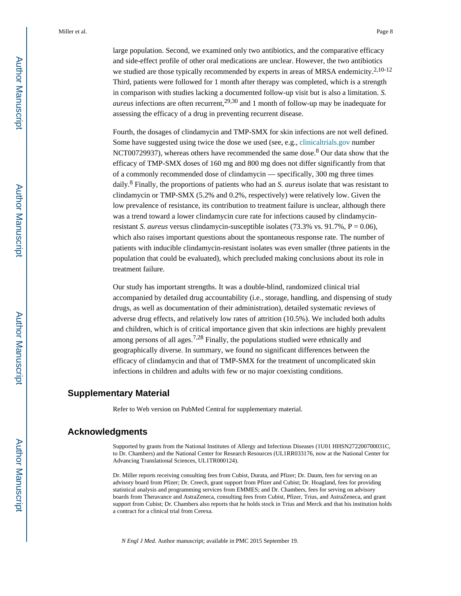large population. Second, we examined only two antibiotics, and the comparative efficacy and side-effect profile of other oral medications are unclear. However, the two antibiotics we studied are those typically recommended by experts in areas of MRSA endemicity.<sup>2,10-12</sup> Third, patients were followed for 1 month after therapy was completed, which is a strength in comparison with studies lacking a documented follow-up visit but is also a limitation. *S. aureus* infections are often recurrent,<sup>29,30</sup> and 1 month of follow-up may be inadequate for assessing the efficacy of a drug in preventing recurrent disease.

Fourth, the dosages of clindamycin and TMP-SMX for skin infections are not well defined. Some have suggested using twice the dose we used (see, e.g., [clinicaltrials.gov](http://clinicaltrials.gov) number NCT00729937), whereas others have recommended the same dose.<sup>8</sup> Our data show that the efficacy of TMP-SMX doses of 160 mg and 800 mg does not differ significantly from that of a commonly recommended dose of clindamycin — specifically, 300 mg three times daily.<sup>8</sup> Finally, the proportions of patients who had an *S. aureus* isolate that was resistant to clindamycin or TMP-SMX (5.2% and 0.2%, respectively) were relatively low. Given the low prevalence of resistance, its contribution to treatment failure is unclear, although there was a trend toward a lower clindamycin cure rate for infections caused by clindamycinresistant *S. aureus* versus clindamycin-susceptible isolates (73.3% vs. 91.7%, P = 0.06), which also raises important questions about the spontaneous response rate. The number of patients with inducible clindamycin-resistant isolates was even smaller (three patients in the population that could be evaluated), which precluded making conclusions about its role in treatment failure.

Our study has important strengths. It was a double-blind, randomized clinical trial accompanied by detailed drug accountability (i.e., storage, handling, and dispensing of study drugs, as well as documentation of their administration), detailed systematic reviews of adverse drug effects, and relatively low rates of attrition (10.5%). We included both adults and children, which is of critical importance given that skin infections are highly prevalent among persons of all ages.7,28 Finally, the populations studied were ethnically and geographically diverse. In summary, we found no significant differences between the efficacy of clindamycin and that of TMP-SMX for the treatment of uncomplicated skin infections in children and adults with few or no major coexisting conditions.

# **Supplementary Material**

Refer to Web version on PubMed Central for supplementary material.

# **Acknowledgments**

Supported by grants from the National Institutes of Allergy and Infectious Diseases (1U01 HHSN272200700031C, to Dr. Chambers) and the National Center for Research Resources (UL1RR033176, now at the National Center for Advancing Translational Sciences, UL1TR000124).

Dr. Miller reports receiving consulting fees from Cubist, Durata, and Pfizer; Dr. Daum, fees for serving on an advisory board from Pfizer; Dr. Creech, grant support from Pfizer and Cubist; Dr. Hoagland, fees for providing statistical analysis and programming services from EMMES; and Dr. Chambers, fees for serving on advisory boards from Theravance and AstraZeneca, consulting fees from Cubist, Pfizer, Trius, and AstraZeneca, and grant support from Cubist; Dr. Chambers also reports that he holds stock in Trius and Merck and that his institution holds a contract for a clinical trial from Cerexa.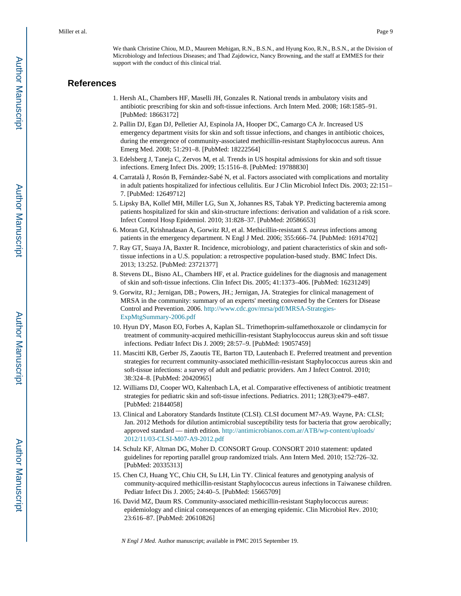We thank Christine Chiou, M.D., Maureen Mehigan, R.N., B.S.N., and Hyung Koo, R.N., B.S.N., at the Division of Microbiology and Infectious Diseases; and Thad Zajdowicz, Nancy Browning, and the staff at EMMES for their support with the conduct of this clinical trial.

# **References**

- 1. Hersh AL, Chambers HF, Maselli JH, Gonzales R. National trends in ambulatory visits and antibiotic prescribing for skin and soft-tissue infections. Arch Intern Med. 2008; 168:1585–91. [PubMed: 18663172]
- 2. Pallin DJ, Egan DJ, Pelletier AJ, Espinola JA, Hooper DC, Camargo CA Jr. Increased US emergency department visits for skin and soft tissue infections, and changes in antibiotic choices, during the emergence of community-associated methicillin-resistant Staphylococcus aureus. Ann Emerg Med. 2008; 51:291–8. [PubMed: 18222564]
- 3. Edelsberg J, Taneja C, Zervos M, et al. Trends in US hospital admissions for skin and soft tissue infections. Emerg Infect Dis. 2009; 15:1516–8. [PubMed: 19788830]
- 4. Carratalà J, Rosón B, Fernández-Sabé N, et al. Factors associated with complications and mortality in adult patients hospitalized for infectious cellulitis. Eur J Clin Microbiol Infect Dis. 2003; 22:151– 7. [PubMed: 12649712]
- 5. Lipsky BA, Kollef MH, Miller LG, Sun X, Johannes RS, Tabak YP. Predicting bacteremia among patients hospitalized for skin and skin-structure infections: derivation and validation of a risk score. Infect Control Hosp Epidemiol. 2010; 31:828–37. [PubMed: 20586653]
- 6. Moran GJ, Krishnadasan A, Gorwitz RJ, et al. Methicillin-resistant *S. aureus* infections among patients in the emergency department. N Engl J Med. 2006; 355:666–74. [PubMed: 16914702]
- 7. Ray GT, Suaya JA, Baxter R. Incidence, microbiology, and patient characteristics of skin and softtissue infections in a U.S. population: a retrospective population-based study. BMC Infect Dis. 2013; 13:252. [PubMed: 23721377]
- 8. Stevens DL, Bisno AL, Chambers HF, et al. Practice guidelines for the diagnosis and management of skin and soft-tissue infections. Clin Infect Dis. 2005; 41:1373–406. [PubMed: 16231249]
- 9. Gorwitz, RJ.; Jernigan, DB.; Powers, JH.; Jernigan, JA. Strategies for clinical management of MRSA in the community: summary of an experts' meeting convened by the Centers for Disease Control and Prevention. 2006. [http://www.cdc.gov/mrsa/pdf/MRSA-Strategies-](http://www.cdc.gov/mrsa/pdf/MRSA-Strategies)[ExpMtgSummary-2006.pdf](http://www.cdc.gov/mrsa/pdf/MRSA-Strategies)
- 10. Hyun DY, Mason EO, Forbes A, Kaplan SL. Trimethoprim-sulfamethoxazole or clindamycin for treatment of community-acquired methicillin-resistant Staphylococcus aureus skin and soft tissue infections. Pediatr Infect Dis J. 2009; 28:57–9. [PubMed: 19057459]
- 11. Mascitti KB, Gerber JS, Zaoutis TE, Barton TD, Lautenbach E. Preferred treatment and prevention strategies for recurrent community-associated methicillin-resistant Staphylococcus aureus skin and soft-tissue infections: a survey of adult and pediatric providers. Am J Infect Control. 2010; 38:324–8. [PubMed: 20420965]
- 12. Williams DJ, Cooper WO, Kaltenbach LA, et al. Comparative effectiveness of antibiotic treatment strategies for pediatric skin and soft-tissue infections. Pediatrics. 2011; 128(3):e479–e487. [PubMed: 21844058]
- 13. Clinical and Laboratory Standards Institute (CLSI). CLSI document M7-A9. Wayne, PA: CLSI; Jan. 2012 Methods for dilution antimicrobial susceptibility tests for bacteria that grow aerobically; approved standard — ninth edition. [http://antimicrobianos.com.ar/ATB/wp-content/uploads/](http://antimicrobianos.com.ar/ATB/wp-content/uploads/2012/11/03-CLSI-M07-A9-2012.pdf) [2012/11/03-CLSI-M07-A9-2012.pdf](http://antimicrobianos.com.ar/ATB/wp-content/uploads/2012/11/03-CLSI-M07-A9-2012.pdf)
- 14. Schulz KF, Altman DG, Moher D. CONSORT Group. CONSORT 2010 statement: updated guidelines for reporting parallel group randomized trials. Ann Intern Med. 2010; 152:726–32. [PubMed: 20335313]
- 15. Chen CJ, Huang YC, Chiu CH, Su LH, Lin TY. Clinical features and genotyping analysis of community-acquired methicillin-resistant Staphylococcus aureus infections in Taiwanese children. Pediatr Infect Dis J. 2005; 24:40–5. [PubMed: 15665709]
- 16. David MZ, Daum RS. Community-associated methicillin-resistant Staphylococcus aureus: epidemiology and clinical consequences of an emerging epidemic. Clin Microbiol Rev. 2010; 23:616–87. [PubMed: 20610826]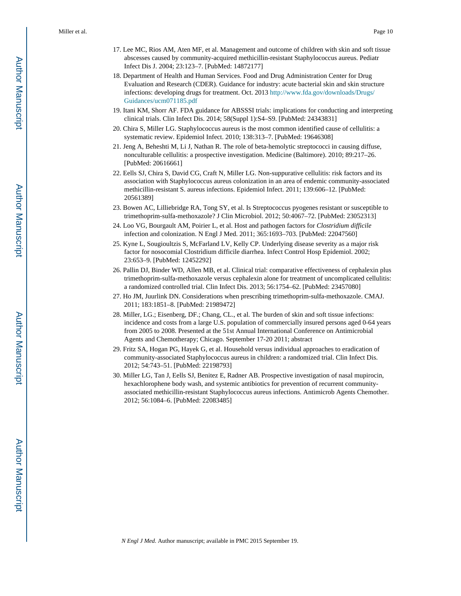- 17. Lee MC, Rios AM, Aten MF, et al. Management and outcome of children with skin and soft tissue abscesses caused by community-acquired methicillin-resistant Staphylococcus aureus. Pediatr Infect Dis J. 2004; 23:123–7. [PubMed: 14872177]
- 18. Department of Health and Human Services. Food and Drug Administration Center for Drug Evaluation and Research (CDER). Guidance for industry: acute bacterial skin and skin structure infections: developing drugs for treatment. Oct. 2013 [http://www.fda.gov/downloads/Drugs/](http://www.fda.gov/downloads/Drugs/Guidances/ucm071185.pdf) [Guidances/ucm071185.pdf](http://www.fda.gov/downloads/Drugs/Guidances/ucm071185.pdf)
- 19. Itani KM, Shorr AF. FDA guidance for ABSSSI trials: implications for conducting and interpreting clinical trials. Clin Infect Dis. 2014; 58(Suppl 1):S4–S9. [PubMed: 24343831]
- 20. Chira S, Miller LG. Staphylococcus aureus is the most common identified cause of cellulitis: a systematic review. Epidemiol Infect. 2010; 138:313–7. [PubMed: 19646308]
- 21. Jeng A, Beheshti M, Li J, Nathan R. The role of beta-hemolytic streptococci in causing diffuse, nonculturable cellulitis: a prospective investigation. Medicine (Baltimore). 2010; 89:217–26. [PubMed: 20616661]
- 22. Eells SJ, Chira S, David CG, Craft N, Miller LG. Non-suppurative cellulitis: risk factors and its association with Staphylococcus aureus colonization in an area of endemic community-associated methicillin-resistant S. aureus infections. Epidemiol Infect. 2011; 139:606–12. [PubMed: 20561389]
- 23. Bowen AC, Lilliebridge RA, Tong SY, et al. Is Streptococcus pyogenes resistant or susceptible to trimethoprim-sulfa-methoxazole? J Clin Microbiol. 2012; 50:4067–72. [PubMed: 23052313]
- 24. Loo VG, Bourgault AM, Poirier L, et al. Host and pathogen factors for *Clostridium difficile*  infection and colonization. N Engl J Med. 2011; 365:1693–703. [PubMed: 22047560]
- 25. Kyne L, Sougioultzis S, McFarland LV, Kelly CP. Underlying disease severity as a major risk factor for nosocomial Clostridium difficile diarrhea. Infect Control Hosp Epidemiol. 2002; 23:653–9. [PubMed: 12452292]
- 26. Pallin DJ, Binder WD, Allen MB, et al. Clinical trial: comparative effectiveness of cephalexin plus trimethoprim-sulfa-methoxazole versus cephalexin alone for treatment of uncomplicated cellulitis: a randomized controlled trial. Clin Infect Dis. 2013; 56:1754–62. [PubMed: 23457080]
- 27. Ho JM, Juurlink DN. Considerations when prescribing trimethoprim-sulfa-methoxazole. CMAJ. 2011; 183:1851–8. [PubMed: 21989472]
- 28. Miller, LG.; Eisenberg, DF.; Chang, CL., et al. The burden of skin and soft tissue infections: incidence and costs from a large U.S. population of commercially insured persons aged 0-64 years from 2005 to 2008. Presented at the 51st Annual International Conference on Antimicrobial Agents and Chemotherapy; Chicago. September 17-20 2011; abstract
- 29. Fritz SA, Hogan PG, Hayek G, et al. Household versus individual approaches to eradication of community-associated Staphylococcus aureus in children: a randomized trial. Clin Infect Dis. 2012; 54:743–51. [PubMed: 22198793]
- 30. Miller LG, Tan J, Eells SJ, Benitez E, Radner AB. Prospective investigation of nasal mupirocin, hexachlorophene body wash, and systemic antibiotics for prevention of recurrent communityassociated methicillin-resistant Staphylococcus aureus infections. Antimicrob Agents Chemother. 2012; 56:1084–6. [PubMed: 22083485]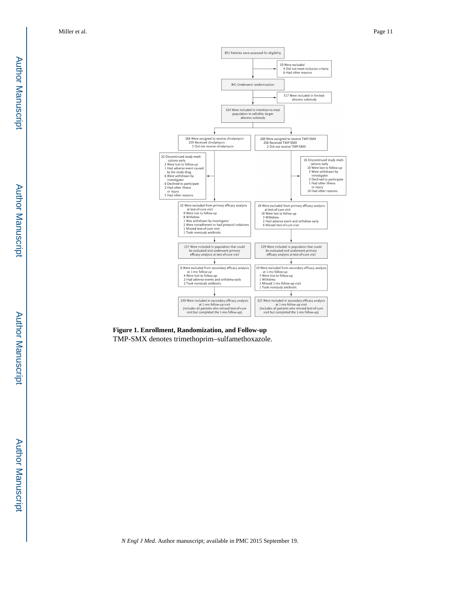

**Figure 1. Enrollment, Randomization, and Follow-up** TMP-SMX denotes trimethoprim–sulfamethoxazole.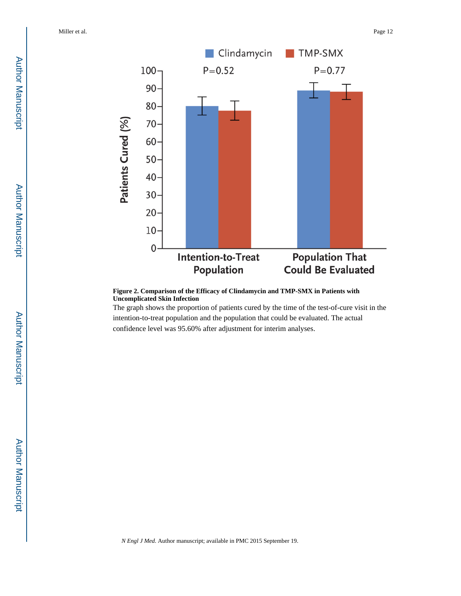

**Figure 2. Comparison of the Efficacy of Clindamycin and TMP-SMX in Patients with Uncomplicated Skin Infection**

The graph shows the proportion of patients cured by the time of the test-of-cure visit in the intention-to-treat population and the population that could be evaluated. The actual confidence level was 95.60% after adjustment for interim analyses.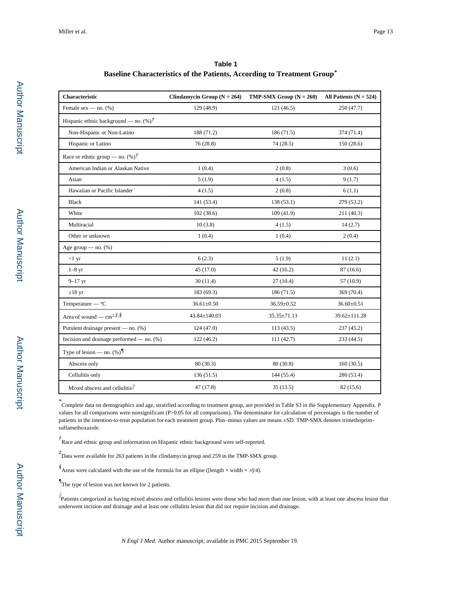| Table 1                                                                 |  |
|-------------------------------------------------------------------------|--|
| Baseline Characteristics of the Patients, According to Treatment Group* |  |

| <b>Characteristic</b>                                                                   | Clindamycin Group ( $N = 264$ ) | <b>TMP-SMX Group</b> $(N = 260)$ | All Patients ( $N = 524$ ) |
|-----------------------------------------------------------------------------------------|---------------------------------|----------------------------------|----------------------------|
| Female sex — no. $(\%)$                                                                 | 129 (48.9)                      | 121(46.5)                        | 250 (47.7)                 |
| Hispanic ethnic background — no. $(\%)^{\dagger}$                                       |                                 |                                  |                            |
| Non-Hispanic or Non-Latino                                                              | 188 (71.2)                      | 186(71.5)                        | 374 (71.4)                 |
| Hispanic or Latino                                                                      | 76 (28.8)                       | 74 (28.5)                        | 150(28.6)                  |
| Race or ethnic group — no. $(\%)^{\dagger}$                                             |                                 |                                  |                            |
| American Indian or Alaskan Native                                                       | 1(0.4)                          | 2(0.8)                           | 3(0.6)                     |
| Asian                                                                                   | 5(1.9)                          | 4(1.5)                           | 9(1.7)                     |
| Hawaiian or Pacific Islander                                                            | 4(1.5)                          | 2(0.8)                           | 6(1.1)                     |
| <b>Black</b>                                                                            | 141 (53.4)                      | 138(53.1)                        | 279 (53.2)                 |
| White                                                                                   | 102(38.6)                       | 109(41.9)                        | 211 (40.3)                 |
| Multiracial                                                                             | 10(3.8)                         | 4(1.5)                           | 14(2.7)                    |
| Other or unknown                                                                        | 1(0.4)                          | 1(0.4)                           | 2(0.4)                     |
| Age group $-$ no. $(\%)$                                                                |                                 |                                  |                            |
| <1 yr                                                                                   | 6(2.3)                          | 5(1.9)                           | 11(2.1)                    |
| $1-8$ yr                                                                                | 45 (17.0)                       | 42(16.2)                         | 87(16.6)                   |
| $9 - 17$ yr                                                                             | 30(11.4)                        | 27(10.4)                         | 57 (10.9)                  |
| 18 <sub>yr</sub>                                                                        | 183 (69.3)                      | 186(71.5)                        | 369 (70.4)                 |
| Temperature — $^{\circ}C$                                                               | $36.61 \pm 0.50$                | 36.59±0.52                       | $36.60 \pm 0.51$           |
| Area of wound — cm <sup>2,<math>\dot{\tau}</math>, <math>\dot{\mathcal{S}}</math></sup> | 43.84±140.03                    | 35.35±71.13                      | 39.62±111.28               |
| Purulent drainage present — no. (%)                                                     | 124(47.0)                       | 113 (43.5)                       | 237(45.2)                  |
| Incision and drainage performed — no. $(\%)$                                            | 122(46.2)                       | 111(42.7)                        | 233(44.5)                  |
| Type of lesion — no. $(\%)$                                                             |                                 |                                  |                            |
| Abscess only                                                                            | 80 (30.3)                       | 80(30.8)                         | 160(30.5)                  |
| Cellulitis only                                                                         | 136(51.5)                       | 144 (55.4)                       | 280 (53.4)                 |
| Mixed abscess and cellulitis//                                                          | 47 (17.8)                       | 35(13.5)                         | 82 (15.6)                  |

*\** Complete data on demographics and age, stratified according to treatment group, are provided in Table S3 in the Supplementary Appendix. P values for all comparisons were nonsignificant (P>0.05 for all comparisons). The denominator for calculation of percentages is the number of patients in the intention-to-treat population for each treatment group. Plus–minus values are means ±SD. TMP-SMX denotes trimethoprim– sulfamethoxazole.

*†* Race and ethnic group and information on Hispanic ethnic background were self-reported.

*‡* Data were available for 263 patients in the clindamycin group and 259 in the TMP-SMX group.

*§* Areas were calculated with the use of the formula for an ellipse ([length × width × π]/4).

*¶* The type of lesion was not known for 2 patients.

 $\#$ Patients categorized as having mixed abscess and cellulitis lesions were those who had more than one lesion, with at least one abscess lesion that underwent incision and drainage and at least one cellulitis lesion that did not require incision and drainage.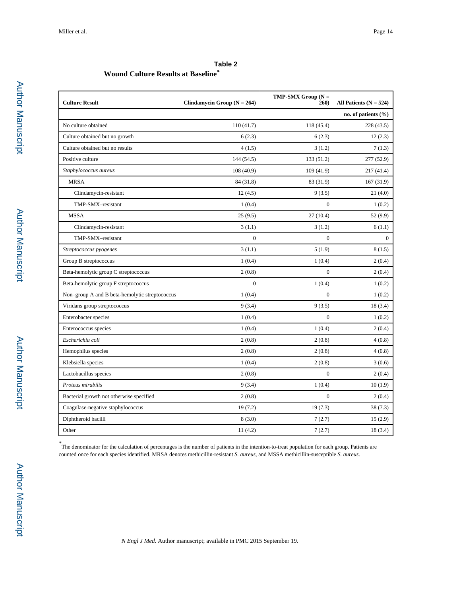# **Table 2**

# **Wound Culture Results at Baseline***\**

| <b>Culture Result</b>                          | Clindamycin Group ( $N = 264$ ) | $TMP-SMX Group (N =$<br>260) | All Patients ( $N = 524$ ) |
|------------------------------------------------|---------------------------------|------------------------------|----------------------------|
|                                                |                                 |                              | no. of patients $(\% )$    |
| No culture obtained                            | 110(41.7)                       | 118 (45.4)                   | 228(43.5)                  |
| Culture obtained but no growth                 | 6(2.3)                          | 6(2.3)                       | 12(2.3)                    |
| Culture obtained but no results                | 4(1.5)                          | 3(1.2)                       | 7(1.3)                     |
| Positive culture                               | 144 (54.5)                      | 133 (51.2)                   | 277(52.9)                  |
| Staphylococcus aureus                          | 108(40.9)                       | 109 (41.9)                   | 217 (41.4)                 |
| <b>MRSA</b>                                    | 84 (31.8)                       | 83 (31.9)                    | 167(31.9)                  |
| Clindamycin-resistant                          | 12(4.5)                         | 9(3.5)                       | 21(4.0)                    |
| TMP-SMX-resistant                              | 1(0.4)                          | $\mathbf{0}$                 | 1(0.2)                     |
| <b>MSSA</b>                                    | 25(9.5)                         | 27(10.4)                     | 52 (9.9)                   |
| Clindamycin-resistant                          | 3(1.1)                          | 3(1.2)                       | 6(1.1)                     |
| TMP-SMX-resistant                              | $\mathbf{0}$                    | $\boldsymbol{0}$             | $\overline{0}$             |
| Streptococcus pyogenes                         | 3(1.1)                          | 5(1.9)                       | 8(1.5)                     |
| Group B streptococcus                          | 1(0.4)                          | 1(0.4)                       | 2(0.4)                     |
| Beta-hemolytic group C streptococcus           | 2(0.8)                          | $\overline{0}$               | 2(0.4)                     |
| Beta-hemolytic group F streptococcus           | $\Omega$                        | 1(0.4)                       | 1(0.2)                     |
| Non-group A and B beta-hemolytic streptococcus | 1(0.4)                          | $\mathbf{0}$                 | 1(0.2)                     |
| Viridans group streptococcus                   | 9(3.4)                          | 9(3.5)                       | 18(3.4)                    |
| Enterobacter species                           | 1(0.4)                          | $\mathbf{0}$                 | 1(0.2)                     |
| Enterococcus species                           | 1(0.4)                          | 1(0.4)                       | 2(0.4)                     |
| Escherichia coli                               | 2(0.8)                          | 2(0.8)                       | 4(0.8)                     |
| Hemophilus species                             | 2(0.8)                          | 2(0.8)                       | 4(0.8)                     |
| Klebsiella species                             | 1(0.4)                          | 2(0.8)                       | 3(0.6)                     |
| Lactobacillus species                          | 2(0.8)                          | $\boldsymbol{0}$             | 2(0.4)                     |
| Proteus mirabilis                              | 9(3.4)                          | 1(0.4)                       | 10(1.9)                    |
| Bacterial growth not otherwise specified       | 2(0.8)                          | $\mathbf{0}$                 | 2(0.4)                     |
| Coagulase-negative staphylococcus              | 19(7.2)                         | 19(7.3)                      | 38 (7.3)                   |
| Diphtheroid bacilli                            | 8(3.0)                          | 7(2.7)                       | 15(2.9)                    |
| Other                                          | 11(4.2)                         | 7(2.7)                       | 18(3.4)                    |

*\** The denominator for the calculation of percentages is the number of patients in the intention-to-treat population for each group. Patients are counted once for each species identified. MRSA denotes methicillin-resistant *S. aureus*, and MSSA methicillin-susceptible *S. aureus*.